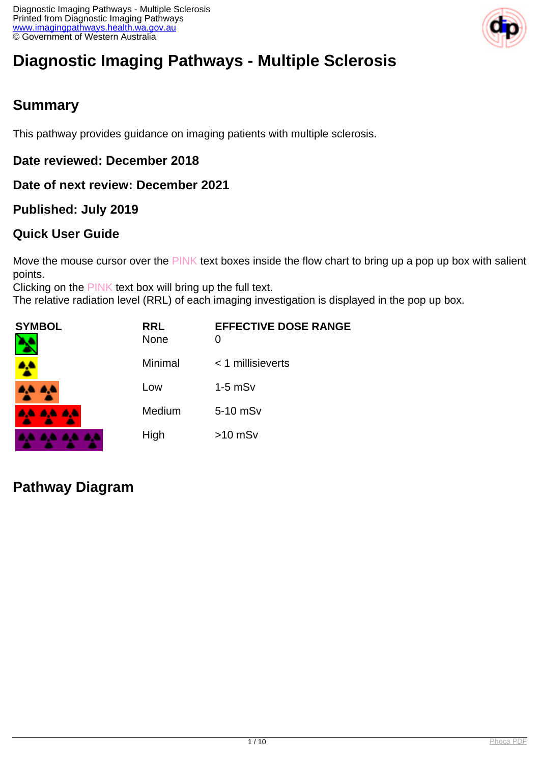

# **Diagnostic Imaging Pathways - Multiple Sclerosis**

## **Summary**

This pathway provides guidance on imaging patients with multiple sclerosis.

### **Date reviewed: December 2018**

### **Date of next review: December 2021**

### **Published: July 2019**

### **Quick User Guide**

Move the mouse cursor over the PINK text boxes inside the flow chart to bring up a pop up box with salient points.

Clicking on the PINK text box will bring up the full text.

The relative radiation level (RRL) of each imaging investigation is displayed in the pop up box.

| SYMBOL          | <b>RRL</b><br><b>None</b> | <b>EFFECTIVE DOSE RANGE</b><br>0 |
|-----------------|---------------------------|----------------------------------|
|                 | Minimal                   | < 1 millisieverts                |
| <b>AA AA</b>    | Low                       | $1-5$ mS $v$                     |
| <b>AA AA AA</b> | Medium                    | 5-10 mSv                         |
|                 | High                      | $>10$ mSv                        |

## **Pathway Diagram**

and the state of the con-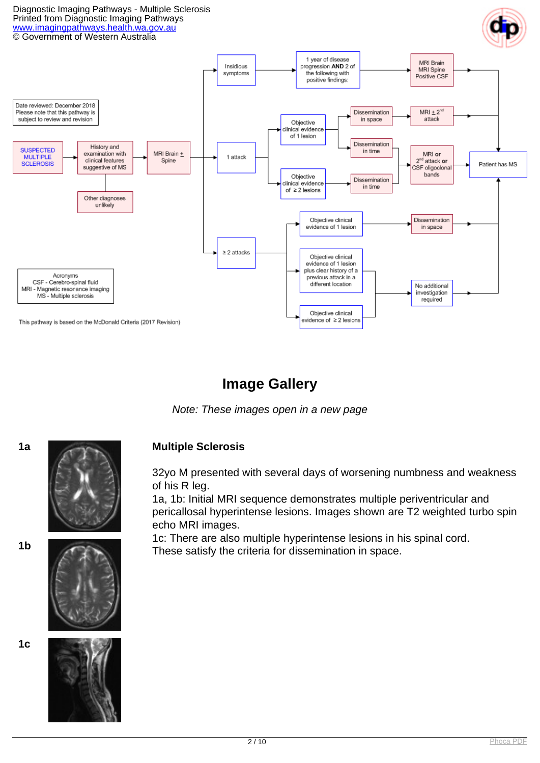#### Diagnostic Imaging Pathways - Multiple Sclerosis Printed from Diagnostic Imaging Pathways [www.imagingpathways.health.wa.gov.au](http://www.imagingpathways.health.wa.gov.au/) © Government of Western Australia



## **Image Gallery**

Note: These images open in a new page



#### **1a Multiple Sclerosis**

32yo M presented with several days of worsening numbness and weakness of his R leg.

1a, 1b: Initial MRI sequence demonstrates multiple periventricular and pericallosal hyperintense lesions. Images shown are T2 weighted turbo spin echo MRI images.

1c: There are also multiple hyperintense lesions in his spinal cord. These satisfy the criteria for dissemination in space.



**1c**

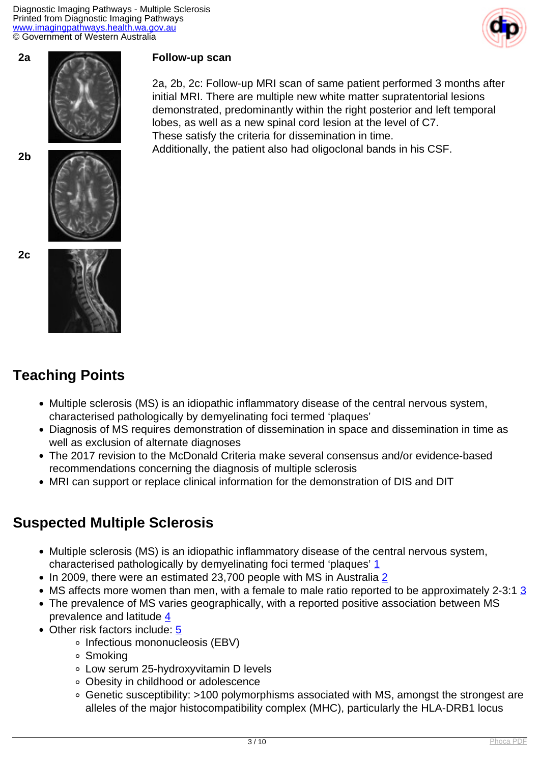Diagnostic Imaging Pathways - Multiple Sclerosis Printed from Diagnostic Imaging Pathways [www.imagingpathways.health.wa.gov.au](http://www.imagingpathways.health.wa.gov.au/) © Government of Western Australia









## **Teaching Points**

- Multiple sclerosis (MS) is an idiopathic inflammatory disease of the central nervous system, characterised pathologically by demyelinating foci termed 'plaques'
- Diagnosis of MS requires demonstration of dissemination in space and dissemination in time as well as exclusion of alternate diagnoses

2a, 2b, 2c: Follow-up MRI scan of same patient performed 3 months after initial MRI. There are multiple new white matter supratentorial lesions demonstrated, predominantly within the right posterior and left temporal

lobes, as well as a new spinal cord lesion at the level of C7.

These satisfy the criteria for dissemination in time.

- The 2017 revision to the McDonald Criteria make several consensus and/or evidence-based recommendations concerning the diagnosis of multiple sclerosis
- MRI can support or replace clinical information for the demonstration of DIS and DIT

## **Suspected Multiple Sclerosis**

- Multiple sclerosis (MS) is an idiopathic inflammatory disease of the central nervous system, characterised pathologically by demyelinating foci termed 'plaques' [1](index.php/imaging-pathways/neurological/multiple-sclerosis?tab=references)
- In [2](index.php/imaging-pathways/neurological/multiple-sclerosis?tab=references)009, there were an estimated 23,700 people with MS in Australia 2
- MS affects more women than men, with a female to male ratio reported to be approximately 2-[3](index.php/imaging-pathways/neurological/multiple-sclerosis?tab=references):1  $\frac{3}{5}$
- The prevalence of MS varies geographically, with a reported positive association between MS prevalence and latitude [4](index.php/imaging-pathways/neurological/multiple-sclerosis?tab=references)
- Other risk factors include: [5](index.php/imaging-pathways/neurological/multiple-sclerosis?tab=references)
	- o Infectious mononucleosis (EBV)
	- Smoking
	- Low serum 25-hydroxyvitamin D levels
	- Obesity in childhood or adolescence
	- Genetic susceptibility: >100 polymorphisms associated with MS, amongst the strongest are alleles of the major histocompatibility complex (MHC), particularly the HLA-DRB1 locus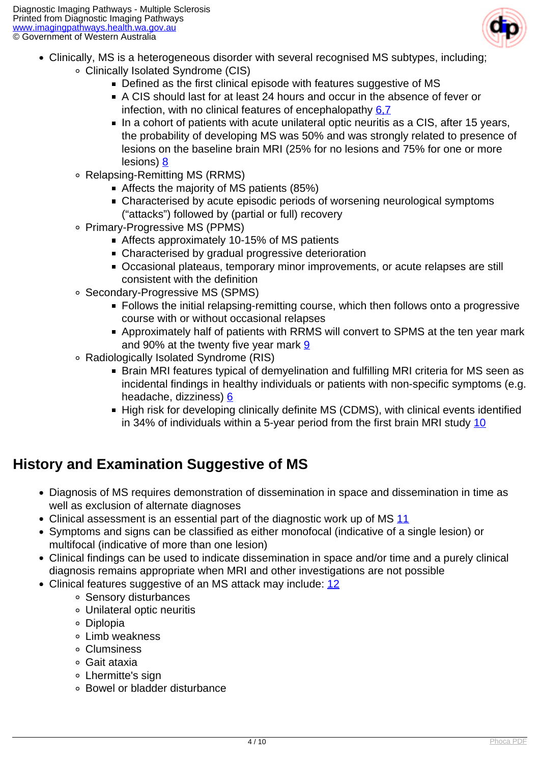

- Clinically, MS is a heterogeneous disorder with several recognised MS subtypes, including;
	- Clinically Isolated Syndrome (CIS)
		- Defined as the first clinical episode with features suggestive of MS
		- A CIS should last for at least 24 hours and occur in the absence of fever or infection, with no clinical features of encephalopathy [6,7](index.php/imaging-pathways/neurological/multiple-sclerosis?tab=references)
		- $\blacksquare$  In a cohort of patients with acute unilateral optic neuritis as a CIS, after 15 years, the probability of developing MS was 50% and was strongly related to presence of lesions on the baseline brain MRI (25% for no lesions and 75% for one or more lesions) [8](index.php/imaging-pathways/neurological/multiple-sclerosis?tab=references)
		- Relapsing-Remitting MS (RRMS)
			- Affects the majority of MS patients (85%)
			- Characterised by acute episodic periods of worsening neurological symptoms ("attacks") followed by (partial or full) recovery
		- Primary-Progressive MS (PPMS)
			- Affects approximately 10-15% of MS patients
			- Characterised by gradual progressive deterioration
			- Occasional plateaus, temporary minor improvements, or acute relapses are still consistent with the definition
		- Secondary-Progressive MS (SPMS)
			- Follows the initial relapsing-remitting course, which then follows onto a progressive course with or without occasional relapses
			- Approximately half of patients with RRMS will convert to SPMS at the ten year mark and 90% at the twenty five year mark [9](index.php/imaging-pathways/neurological/multiple-sclerosis?tab=references)
		- Radiologically Isolated Syndrome (RIS)
			- Brain MRI features typical of demyelination and fulfilling MRI criteria for MS seen as incidental findings in healthy individuals or patients with non-specific symptoms (e.g. headache, dizziness) [6](index.php/imaging-pathways/neurological/multiple-sclerosis?tab=references)
			- High risk for developing clinically definite MS (CDMS), with clinical events identified in 34% of individuals within a 5-year period from the first brain MRI study [10](index.php/imaging-pathways/neurological/multiple-sclerosis?tab=references)

## **History and Examination Suggestive of MS**

- Diagnosis of MS requires demonstration of dissemination in space and dissemination in time as well as exclusion of alternate diagnoses
- Clinical assessment is an essential part of the diagnostic work up of MS [11](index.php/imaging-pathways/neurological/multiple-sclerosis?tab=references)
- Symptoms and signs can be classified as either monofocal (indicative of a single lesion) or multifocal (indicative of more than one lesion)
- Clinical findings can be used to indicate dissemination in space and/or time and a purely clinical diagnosis remains appropriate when MRI and other investigations are not possible
- Clinical features suggestive of an MS attack may include: [12](index.php/imaging-pathways/neurological/multiple-sclerosis?tab=references)
	- Sensory disturbances
	- Unilateral optic neuritis
	- Diplopia
	- Limb weakness
	- Clumsiness
	- Gait ataxia
	- Lhermitte's sign
	- Bowel or bladder disturbance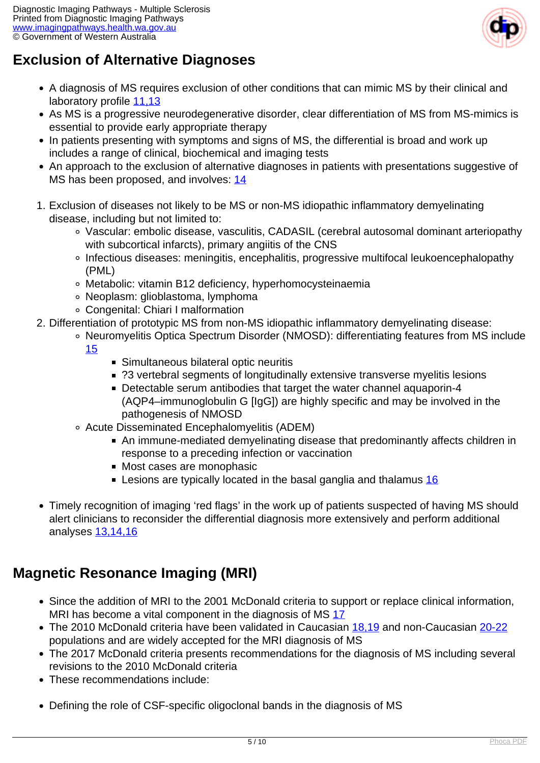

## **Exclusion of Alternative Diagnoses**

- A diagnosis of MS requires exclusion of other conditions that can mimic MS by their clinical and laboratory profile [11,13](index.php/imaging-pathways/neurological/multiple-sclerosis?tab=references)
- As MS is a progressive neurodegenerative disorder, clear differentiation of MS from MS-mimics is essential to provide early appropriate therapy
- In patients presenting with symptoms and signs of MS, the differential is broad and work up includes a range of clinical, biochemical and imaging tests
- An approach to the exclusion of alternative diagnoses in patients with presentations suggestive of MS has been proposed, and involves: [14](index.php/imaging-pathways/neurological/multiple-sclerosis?tab=references)
- 1. Exclusion of diseases not likely to be MS or non-MS idiopathic inflammatory demyelinating disease, including but not limited to:
	- Vascular: embolic disease, vasculitis, CADASIL (cerebral autosomal dominant arteriopathy with subcortical infarcts), primary angiitis of the CNS
	- Infectious diseases: meningitis, encephalitis, progressive multifocal leukoencephalopathy (PML)
	- Metabolic: vitamin B12 deficiency, hyperhomocysteinaemia
	- Neoplasm: glioblastoma, lymphoma
	- Congenital: Chiari I malformation
- 2. Differentiation of prototypic MS from non-MS idiopathic inflammatory demyelinating disease:
	- Neuromyelitis Optica Spectrum Disorder (NMOSD): differentiating features from MS include [15](index.php/imaging-pathways/neurological/multiple-sclerosis?tab=references)
		- Simultaneous bilateral optic neuritis
		- ?3 vertebral segments of longitudinally extensive transverse myelitis lesions
		- Detectable serum antibodies that target the water channel aquaporin-4 (AQP4–immunoglobulin G [IgG]) are highly specific and may be involved in the pathogenesis of NMOSD
	- Acute Disseminated Encephalomyelitis (ADEM)
		- An immune-mediated demyelinating disease that predominantly affects children in response to a preceding infection or vaccination
		- Most cases are monophasic
		- E Lesions are typically located in the basal ganglia and thalamus  $16$
- Timely recognition of imaging 'red flags' in the work up of patients suspected of having MS should alert clinicians to reconsider the differential diagnosis more extensively and perform additional analyses [13,14,16](index.php/imaging-pathways/neurological/multiple-sclerosis?tab=references)

## **Magnetic Resonance Imaging (MRI)**

- Since the addition of MRI to the 2001 McDonald criteria to support or replace clinical information, MRI has become a vital component in the diagnosis of MS [17](index.php/imaging-pathways/neurological/multiple-sclerosis?tab=references)
- The 2010 McDonald criteria have been validated in Caucasian [18,19](index.php/imaging-pathways/neurological/multiple-sclerosis?tab=references) and non-Caucasian [20-22](index.php/imaging-pathways/neurological/multiple-sclerosis?tab=references) populations and are widely accepted for the MRI diagnosis of MS
- The 2017 McDonald criteria presents recommendations for the diagnosis of MS including several revisions to the 2010 McDonald criteria
- These recommendations include:
- Defining the role of CSF-specific oligoclonal bands in the diagnosis of MS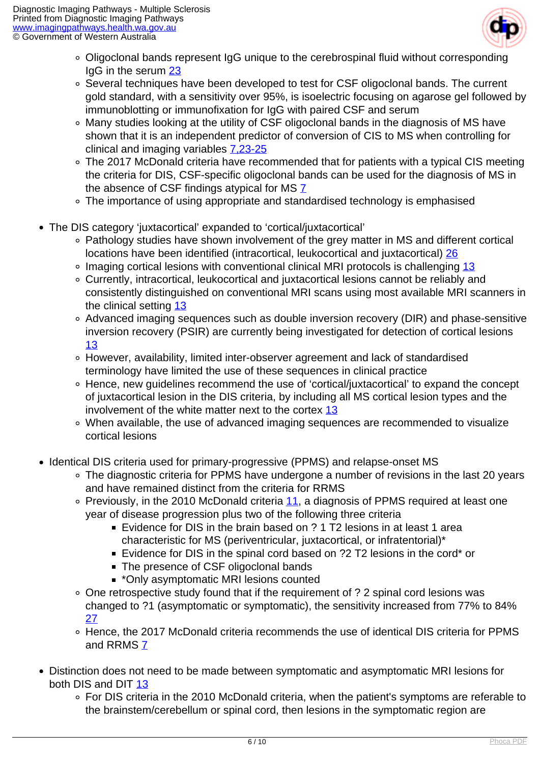

- Oligoclonal bands represent IgG unique to the cerebrospinal fluid without corresponding IgG in the serum [23](index.php/imaging-pathways/neurological/multiple-sclerosis?tab=references)
- Several techniques have been developed to test for CSF oligoclonal bands. The current gold standard, with a sensitivity over 95%, is isoelectric focusing on agarose gel followed by immunoblotting or immunofixation for IgG with paired CSF and serum
- Many studies looking at the utility of CSF oligoclonal bands in the diagnosis of MS have shown that it is an independent predictor of conversion of CIS to MS when controlling for clinical and imaging variables [7,23-25](index.php/imaging-pathways/neurological/multiple-sclerosis?tab=references)
- The 2017 McDonald criteria have recommended that for patients with a typical CIS meeting the criteria for DIS, CSF-specific oligoclonal bands can be used for the diagnosis of MS in the absence of CSF findings atypical for MS $Z$
- The importance of using appropriate and standardised technology is emphasised
- The DIS category 'juxtacortical' expanded to 'cortical/juxtacortical'
	- Pathology studies have shown involvement of the grey matter in MS and different cortical locations have been identified (intracortical, leukocortical and juxtacortical) [26](index.php/imaging-pathways/neurological/multiple-sclerosis?tab=references)
	- ∘ Imaging cortical lesions with conventional clinical MRI protocols is challenging [13](index.php/imaging-pathways/neurological/multiple-sclerosis?tab=references)
	- Currently, intracortical, leukocortical and juxtacortical lesions cannot be reliably and consistently distinguished on conventional MRI scans using most available MRI scanners in the clinical setting [13](index.php/imaging-pathways/neurological/multiple-sclerosis?tab=references)
	- Advanced imaging sequences such as double inversion recovery (DIR) and phase-sensitive inversion recovery (PSIR) are currently being investigated for detection of cortical lesions [13](index.php/imaging-pathways/neurological/multiple-sclerosis?tab=references)
	- However, availability, limited inter-observer agreement and lack of standardised terminology have limited the use of these sequences in clinical practice
	- Hence, new guidelines recommend the use of 'cortical/juxtacortical' to expand the concept of juxtacortical lesion in the DIS criteria, by including all MS cortical lesion types and the involvement of the white matter next to the cortex  $13$
	- When available, the use of advanced imaging sequences are recommended to visualize cortical lesions
- Identical DIS criteria used for primary-progressive (PPMS) and relapse-onset MS
	- The diagnostic criteria for PPMS have undergone a number of revisions in the last 20 years and have remained distinct from the criteria for RRMS
	- Previously, in the 2010 McDonald criteria [11,](index.php/imaging-pathways/neurological/multiple-sclerosis?tab=references) a diagnosis of PPMS required at least one year of disease progression plus two of the following three criteria
		- Evidence for DIS in the brain based on ? 1 T2 lesions in at least 1 area characteristic for MS (periventricular, juxtacortical, or infratentorial)\*
		- Evidence for DIS in the spinal cord based on ?2 T2 lesions in the cord\* or
		- The presence of CSF oligoclonal bands
		- \*Only asymptomatic MRI lesions counted
	- One retrospective study found that if the requirement of ? 2 spinal cord lesions was changed to ?1 (asymptomatic or symptomatic), the sensitivity increased from 77% to 84% [27](index.php/imaging-pathways/neurological/multiple-sclerosis?tab=references)
	- Hence, the 2017 McDonald criteria recommends the use of identical DIS criteria for PPMS and RRMS [7](index.php/imaging-pathways/neurological/multiple-sclerosis?tab=references)
- Distinction does not need to be made between symptomatic and asymptomatic MRI lesions for both DIS and DIT [13](index.php/imaging-pathways/neurological/multiple-sclerosis?tab=references)
	- For DIS criteria in the 2010 McDonald criteria, when the patient's symptoms are referable to the brainstem/cerebellum or spinal cord, then lesions in the symptomatic region are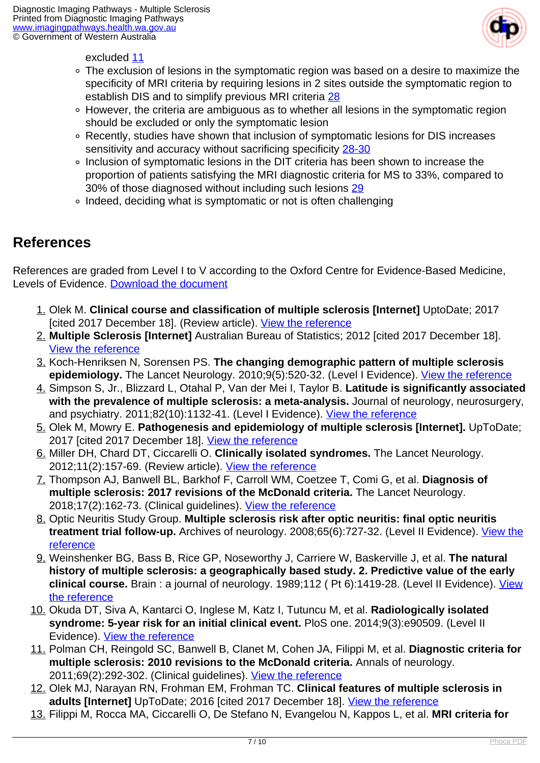

excluded [11](index.php/imaging-pathways/neurological/multiple-sclerosis?tab=references)

- The exclusion of lesions in the symptomatic region was based on a desire to maximize the specificity of MRI criteria by requiring lesions in 2 sites outside the symptomatic region to establish DIS and to simplify previous MRI criteria [28](index.php/imaging-pathways/neurological/multiple-sclerosis?tab=references)
- However, the criteria are ambiguous as to whether all lesions in the symptomatic region should be excluded or only the symptomatic lesion
- Recently, studies have shown that inclusion of symptomatic lesions for DIS increases sensitivity and accuracy without sacrificing specificity [28-30](index.php/imaging-pathways/neurological/multiple-sclerosis?tab=references)
- Inclusion of symptomatic lesions in the DIT criteria has been shown to increase the proportion of patients satisfying the MRI diagnostic criteria for MS to 33%, compared to 30% of those diagnosed without including such lesions [29](index.php/imaging-pathways/neurological/multiple-sclerosis?tab=references)
- Indeed, deciding what is symptomatic or not is often challenging

## **References**

References are graded from Level I to V according to the Oxford Centre for Evidence-Based Medicine, Levels of Evidence. [Download the document](http://www.cebm.net/wp-content/uploads/2014/06/CEBM-Levels-of-Evidence-2.1.pdf)

- 1. Olek M. **Clinical course and classification of multiple sclerosis [Internet]** UptoDate; 2017 [cited 2017 December 18]. (Review article). [View the reference](https://www.uptodate.com/contents/clinical-course-and-classification-of-multiple-sclerosis)
- 2. **Multiple Sclerosis [Internet]** Australian Bureau of Statistics; 2012 [cited 2017 December 18]. [View the reference](http://www.abs.gov.au/ausstats/abs@.nsf/Lookup/4429.0Main+Features100182009)
- 3. Koch-Henriksen N, Sorensen PS. **The changing demographic pattern of multiple sclerosis epidemiology.** The Lancet Neurology. 2010;9(5):520-32. (Level I Evidence). [View the reference](https://www.ncbi.nlm.nih.gov/pubmed/20398859)
- 4. Simpson S, Jr., Blizzard L, Otahal P, Van der Mei I, Taylor B. **Latitude is significantly associated with the prevalence of multiple sclerosis: a meta-analysis.** Journal of neurology, neurosurgery, and psychiatry. 2011;82(10):1132-41. (Level I Evidence). [View the reference](https://www.ncbi.nlm.nih.gov/pubmed/21478203)
- 5. Olek M, Mowry E. **Pathogenesis and epidemiology of multiple sclerosis [Internet].** UpToDate; 2017 [cited 2017 December 18]. [View the reference](https://www.uptodate.com/contents/pathogenesis-and-epidemiology-of-multiple-sclerosis)
- 6. Miller DH, Chard DT, Ciccarelli O. **Clinically isolated syndromes.** The Lancet Neurology. 2012;11(2):157-69. (Review article). [View the reference](https://www.ncbi.nlm.nih.gov/pubmed/22265211)
- 7. Thompson AJ, Banwell BL, Barkhof F, Carroll WM, Coetzee T, Comi G, et al. **Diagnosis of multiple sclerosis: 2017 revisions of the McDonald criteria.** The Lancet Neurology. 2018;17(2):162-73. (Clinical guidelines). [View the reference](https://www.ncbi.nlm.nih.gov/pubmed/29275977)
- 8. Optic Neuritis Study Group. **Multiple sclerosis risk after optic neuritis: final optic neuritis treatment trial follow-up.** Archives of neurology. 2008;65(6):727-32. (Level II Evidence). [View the](https://www.ncbi.nlm.nih.gov/pubmed/18541792) [reference](https://www.ncbi.nlm.nih.gov/pubmed/18541792)
- 9. Weinshenker BG, Bass B, Rice GP, Noseworthy J, Carriere W, Baskerville J, et al. **The natural history of multiple sclerosis: a geographically based study. 2. Predictive value of the early clinical course.** Brain : a journal of neurology. 1989;112 ( Pt 6):1419-28. (Level II Evidence). [View](https://www.ncbi.nlm.nih.gov/pubmed/2597989) [the reference](https://www.ncbi.nlm.nih.gov/pubmed/2597989)
- 10. Okuda DT, Siva A, Kantarci O, Inglese M, Katz I, Tutuncu M, et al. **Radiologically isolated syndrome: 5-year risk for an initial clinical event.** PloS one. 2014;9(3):e90509. (Level II Evidence). [View the reference](https://www.ncbi.nlm.nih.gov/pubmed/24598783)
- 11. Polman CH, Reingold SC, Banwell B, Clanet M, Cohen JA, Filippi M, et al. **Diagnostic criteria for multiple sclerosis: 2010 revisions to the McDonald criteria.** Annals of neurology. 2011;69(2):292-302. (Clinical guidelines). [View the reference](https://www.ncbi.nlm.nih.gov/pubmed/21387374)
- 12. Olek MJ, Narayan RN, Frohman EM, Frohman TC. **Clinical features of multiple sclerosis in adults [Internet]** UpToDate; 2016 [cited 2017 December 18]. [View the reference](https://www.uptodate.com/contents/clinical-features-of-multiple-sclerosis-in-adults)
- 13. Filippi M, Rocca MA, Ciccarelli O, De Stefano N, Evangelou N, Kappos L, et al. **MRI criteria for**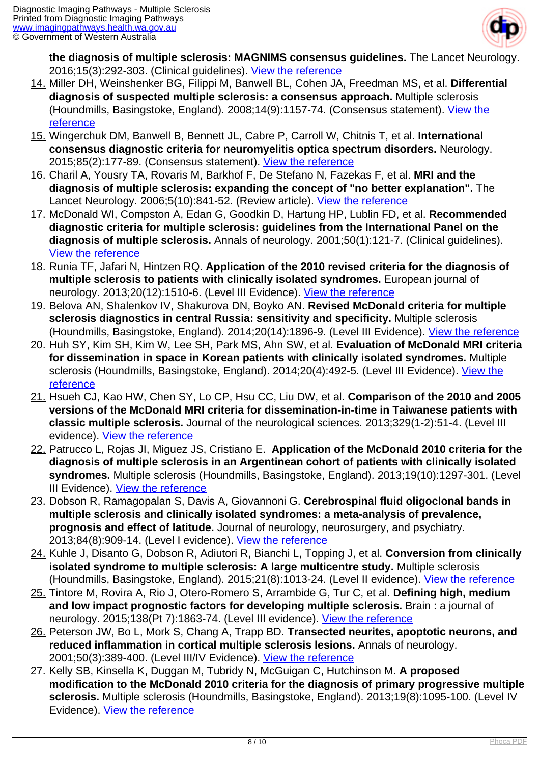

**the diagnosis of multiple sclerosis: MAGNIMS consensus guidelines.** The Lancet Neurology. 2016;15(3):292-303. (Clinical guidelines). [View the reference](https://www.ncbi.nlm.nih.gov/pubmed/26822746)

- 14. Miller DH, Weinshenker BG, Filippi M, Banwell BL, Cohen JA, Freedman MS, et al. **Differential diagnosis of suspected multiple sclerosis: a consensus approach.** Multiple sclerosis (Houndmills, Basingstoke, England). 2008;14(9):1157-74. (Consensus statement). [View the](https://www.ncbi.nlm.nih.gov/pubmed/18805839) [reference](https://www.ncbi.nlm.nih.gov/pubmed/18805839)
- 15. Wingerchuk DM, Banwell B, Bennett JL, Cabre P, Carroll W, Chitnis T, et al. **International consensus diagnostic criteria for neuromyelitis optica spectrum disorders.** Neurology. 2015;85(2):177-89. (Consensus statement). [View the reference](https://www.ncbi.nlm.nih.gov/pubmed/26092914)
- 16. Charil A, Yousry TA, Rovaris M, Barkhof F, De Stefano N, Fazekas F, et al. **MRI and the diagnosis of multiple sclerosis: expanding the concept of "no better explanation".** The Lancet Neurology. 2006;5(10):841-52. (Review article). [View the reference](https://www.ncbi.nlm.nih.gov/pubmed/16987731)
- 17. McDonald WI, Compston A, Edan G, Goodkin D, Hartung HP, Lublin FD, et al. **Recommended diagnostic criteria for multiple sclerosis: guidelines from the International Panel on the diagnosis of multiple sclerosis.** Annals of neurology. 2001;50(1):121-7. (Clinical guidelines). [View the reference](https://www.ncbi.nlm.nih.gov/pubmed/11456302)
- 18. Runia TF, Jafari N, Hintzen RQ. **Application of the 2010 revised criteria for the diagnosis of multiple sclerosis to patients with clinically isolated syndromes.** European journal of neurology. 2013;20(12):1510-6. (Level III Evidence). [View the reference](https://www.ncbi.nlm.nih.gov/pubmed/23906114)
- 19. Belova AN, Shalenkov IV, Shakurova DN, Boyko AN. **Revised McDonald criteria for multiple sclerosis diagnostics in central Russia: sensitivity and specificity.** Multiple sclerosis (Houndmills, Basingstoke, England). 2014;20(14):1896-9. (Level III Evidence). [View the reference](https://www.ncbi.nlm.nih.gov/pubmed/25145690)
- 20. Huh SY, Kim SH, Kim W, Lee SH, Park MS, Ahn SW, et al. **Evaluation of McDonald MRI criteria for dissemination in space in Korean patients with clinically isolated syndromes.** Multiple sclerosis (Houndmills, Basingstoke, England). 2014;20(4):492-5. (Level III Evidence). [View the](https://www.ncbi.nlm.nih.gov/pubmed/23886829) [reference](https://www.ncbi.nlm.nih.gov/pubmed/23886829)
- 21. Hsueh CJ, Kao HW, Chen SY, Lo CP, Hsu CC, Liu DW, et al. **Comparison of the 2010 and 2005 versions of the McDonald MRI criteria for dissemination-in-time in Taiwanese patients with classic multiple sclerosis.** Journal of the neurological sciences. 2013;329(1-2):51-4. (Level III evidence). [View the reference](https://www.ncbi.nlm.nih.gov/pubmed/23597668)
- 22. Patrucco L, Rojas JI, Miguez JS, Cristiano E. **Application of the McDonald 2010 criteria for the diagnosis of multiple sclerosis in an Argentinean cohort of patients with clinically isolated syndromes.** Multiple sclerosis (Houndmills, Basingstoke, England). 2013;19(10):1297-301. (Level III Evidence). [View the reference](https://www.ncbi.nlm.nih.gov/pubmed/23388165)
- 23. Dobson R, Ramagopalan S, Davis A, Giovannoni G. **Cerebrospinal fluid oligoclonal bands in multiple sclerosis and clinically isolated syndromes: a meta-analysis of prevalence, prognosis and effect of latitude.** Journal of neurology, neurosurgery, and psychiatry. 2013;84(8):909-14. (Level I evidence). [View the reference](https://www.ncbi.nlm.nih.gov/pubmed/23431079)
- 24. Kuhle J, Disanto G, Dobson R, Adiutori R, Bianchi L, Topping J, et al. **Conversion from clinically isolated syndrome to multiple sclerosis: A large multicentre study.** Multiple sclerosis (Houndmills, Basingstoke, England). 2015;21(8):1013-24. (Level II evidence). [View the reference](https://www.ncbi.nlm.nih.gov/pubmed/25680984)
- 25. Tintore M, Rovira A, Rio J, Otero-Romero S, Arrambide G, Tur C, et al. **Defining high, medium and low impact prognostic factors for developing multiple sclerosis.** Brain : a journal of neurology. 2015;138(Pt 7):1863-74. (Level III evidence). [View the reference](https://www.ncbi.nlm.nih.gov/pubmed/25902415)
- 26. Peterson JW, Bo L, Mork S, Chang A, Trapp BD. **Transected neurites, apoptotic neurons, and reduced inflammation in cortical multiple sclerosis lesions.** Annals of neurology. 2001;50(3):389-400. (Level III/IV Evidence). [View the reference](https://www.ncbi.nlm.nih.gov/pubmed/11558796)
- 27. Kelly SB, Kinsella K, Duggan M, Tubridy N, McGuigan C, Hutchinson M. **A proposed modification to the McDonald 2010 criteria for the diagnosis of primary progressive multiple sclerosis.** Multiple sclerosis (Houndmills, Basingstoke, England). 2013;19(8):1095-100. (Level IV Evidence). [View the reference](https://www.ncbi.nlm.nih.gov/pubmed/23132903)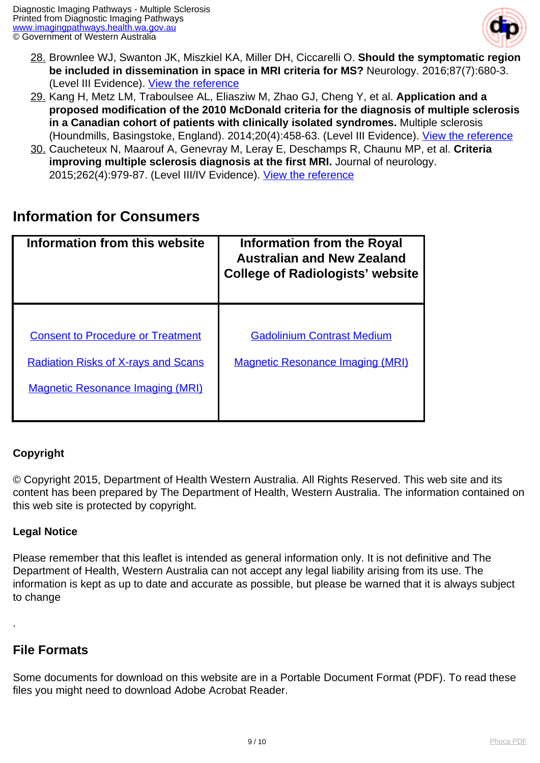

- 28. Brownlee WJ, Swanton JK, Miszkiel KA, Miller DH, Ciccarelli O. **Should the symptomatic region be included in dissemination in space in MRI criteria for MS?** Neurology. 2016;87(7):680-3. (Level III Evidence). [View the reference](https://www.ncbi.nlm.nih.gov/pubmed/27421541)
- 29. Kang H, Metz LM, Traboulsee AL, Eliasziw M, Zhao GJ, Cheng Y, et al. **Application and a proposed modification of the 2010 McDonald criteria for the diagnosis of multiple sclerosis in a Canadian cohort of patients with clinically isolated syndromes.** Multiple sclerosis (Houndmills, Basingstoke, England). 2014;20(4):458-63. (Level III Evidence). [View the reference](https://www.ncbi.nlm.nih.gov/pubmed/23970502)
- 30. Caucheteux N, Maarouf A, Genevray M, Leray E, Deschamps R, Chaunu MP, et al. **Criteria improving multiple sclerosis diagnosis at the first MRI.** Journal of neurology. 2015;262(4):979-87. (Level III/IV Evidence). [View the reference](https://www.ncbi.nlm.nih.gov/pubmed/25683762)

### **Information for Consumers**

| Information from this website                                                                                                     | Information from the Royal<br><b>Australian and New Zealand</b><br><b>College of Radiologists' website</b> |
|-----------------------------------------------------------------------------------------------------------------------------------|------------------------------------------------------------------------------------------------------------|
| <b>Consent to Procedure or Treatment</b><br><b>Radiation Risks of X-rays and Scans</b><br><b>Magnetic Resonance Imaging (MRI)</b> | <b>Gadolinium Contrast Medium</b><br><b>Magnetic Resonance Imaging (MRI)</b>                               |

#### **Copyright**

© Copyright 2015, Department of Health Western Australia. All Rights Reserved. This web site and its content has been prepared by The Department of Health, Western Australia. The information contained on this web site is protected by copyright.

#### **Legal Notice**

Please remember that this leaflet is intended as general information only. It is not definitive and The Department of Health, Western Australia can not accept any legal liability arising from its use. The information is kept as up to date and accurate as possible, but please be warned that it is always subject to change

### **File Formats**

.

Some documents for download on this website are in a Portable Document Format (PDF). To read these files you might need to download Adobe Acrobat Reader.